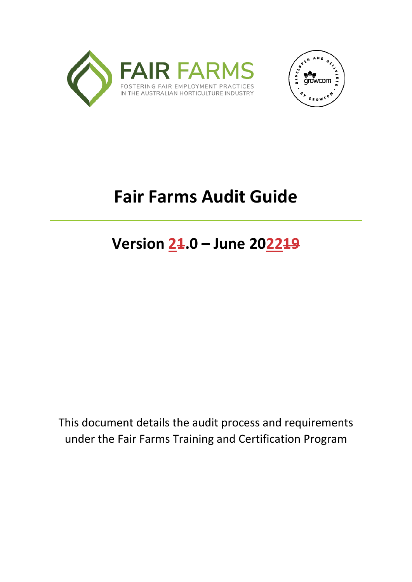



# **Fair Farms Audit Guide**

**Version 21.0 – June 202219**

This document details the audit process and requirements under the Fair Farms Training and Certification Program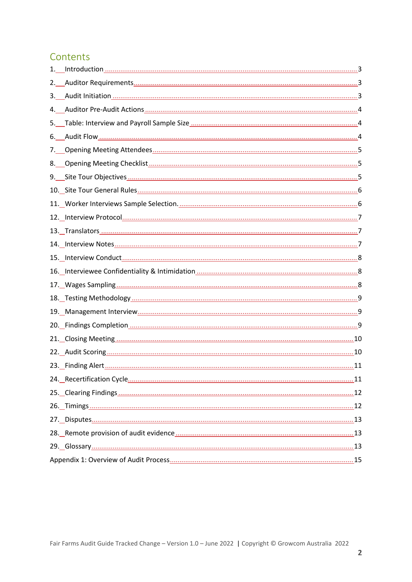# Contents

| 1. |  |
|----|--|
| 2. |  |
| 3. |  |
| 4. |  |
|    |  |
| 6. |  |
| 7. |  |
|    |  |
|    |  |
|    |  |
|    |  |
|    |  |
|    |  |
|    |  |
|    |  |
|    |  |
|    |  |
|    |  |
|    |  |
|    |  |
|    |  |
|    |  |
|    |  |
|    |  |
|    |  |
|    |  |
|    |  |
|    |  |
|    |  |
|    |  |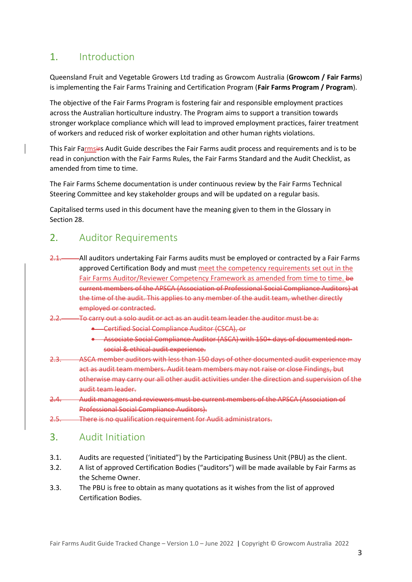# <span id="page-2-0"></span>1. Introduction

Queensland Fruit and Vegetable Growers Ltd trading as Growcom Australia (**Growcom / Fair Farms**) is implementing the Fair Farms Training and Certification Program (**Fair Farms Program / Program**).

The objective of the Fair Farms Program is fostering fair and responsible employment practices across the Australian horticulture industry. The Program aims to support a transition towards stronger workplace compliance which will lead to improved employment practices, fairer treatment of workers and reduced risk of worker exploitation and other human rights violations.

This Fair Farmsirs Audit Guide describes the Fair Farms audit process and requirements and is to be read in conjunction with the Fair Farms Rules, the Fair Farms Standard and the Audit Checklist, as amended from time to time.

The Fair Farms Scheme documentation is under continuous review by the Fair Farms Technical Steering Committee and key stakeholder groups and will be updated on a regular basis.

Capitalised terms used in this document have the meaning given to them in the Glossary in Section 28.

#### <span id="page-2-1"></span>2. Auditor Requirements

- 2.1. All auditors undertaking Fair Farms audits must be employed or contracted by a Fair Farms approved Certification Body and must meet the competency requirements set out in the Fair Farms Auditor/Reviewer Competency Framework as amended from time to time. be current members of the APSCA (Association of Professional Social Compliance Auditors) at the time of the audit. This applies to any member of the audit team, whether directly employed or contracted.
- 2.2. To carry out a solo audit or act as an audit team leader the auditor must be a:
	- Certified Social Compliance Auditor (CSCA), or
	- Associate Social Compliance Auditor (ASCA) with 150+ days of documented nonsocial & ethical audit experience.
- 2.3. ASCA member auditors with less than 150 days of other documented audit experience may act as audit team members. Audit team members may not raise or close Findings, but otherwise may carry our all other audit activities under the direction and supervision of the audit team leader.
- 2.4. Audit managers and reviewers must be current members of the APSCA (Association of Professional Social Compliance Auditors).
- 2.5. There is no qualification requirement for Audit administrators.

#### <span id="page-2-2"></span>3. Audit Initiation

- 3.1. Audits are requested ('initiated") by the Participating Business Unit (PBU) as the client.
- 3.2. A list of approved Certification Bodies ("auditors") will be made available by Fair Farms as the Scheme Owner.
- 3.3. The PBU is free to obtain as many quotations as it wishes from the list of approved Certification Bodies.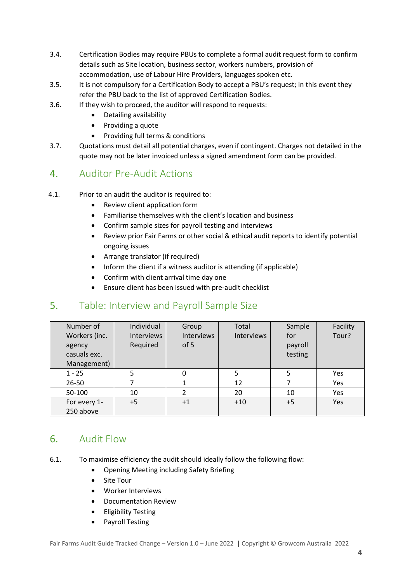- 3.4. Certification Bodies may require PBUs to complete a formal audit request form to confirm details such as Site location, business sector, workers numbers, provision of accommodation, use of Labour Hire Providers, languages spoken etc.
- 3.5. It is not compulsory for a Certification Body to accept a PBU's request; in this event they refer the PBU back to the list of approved Certification Bodies.
- 3.6. If they wish to proceed, the auditor will respond to requests:
	- Detailing availability
	- Providing a quote
	- Providing full terms & conditions
- 3.7. Quotations must detail all potential charges, even if contingent. Charges not detailed in the quote may not be later invoiced unless a signed amendment form can be provided.

# <span id="page-3-0"></span>4. Auditor Pre-Audit Actions

- 4.1. Prior to an audit the auditor is required to:
	- Review client application form
		- Familiarise themselves with the client's location and business
	- Confirm sample sizes for payroll testing and interviews
	- Review prior Fair Farms or other social & ethical audit reports to identify potential ongoing issues
	- Arrange translator (if required)
	- Inform the client if a witness auditor is attending (if applicable)
	- Confirm with client arrival time day one
	- Ensure client has been issued with pre-audit checklist

# <span id="page-3-1"></span>5. Table: Interview and Payroll Sample Size

| Number of     | Individual        | Group             | Total             | Sample  | Facility |
|---------------|-------------------|-------------------|-------------------|---------|----------|
| Workers (inc. | <b>Interviews</b> | <b>Interviews</b> | <b>Interviews</b> | for     | Tour?    |
| agency        | Required          | of 5              |                   | payroll |          |
| casuals exc.  |                   |                   |                   | testing |          |
| Management)   |                   |                   |                   |         |          |
| $1 - 25$      |                   | 0                 | 5                 | 5       | Yes      |
| 26-50         |                   |                   | 12                |         | Yes      |
| 50-100        | 10                | C.                | 20                | 10      | Yes      |
| For every 1-  | $+5$              | $+1$              | $+10$             | $+5$    | Yes      |
| 250 above     |                   |                   |                   |         |          |

# <span id="page-3-2"></span>6. Audit Flow

- 6.1. To maximise efficiency the audit should ideally follow the following flow:
	- Opening Meeting including Safety Briefing
	- Site Tour
	- Worker Interviews
	- Documentation Review
	- Eligibility Testing
	- Payroll Testing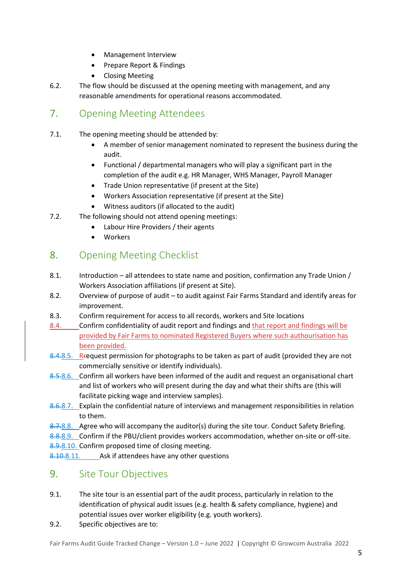- Management Interview
- Prepare Report & Findings
- Closing Meeting
- 6.2. The flow should be discussed at the opening meeting with management, and any reasonable amendments for operational reasons accommodated.

# <span id="page-4-0"></span>7. Opening Meeting Attendees

- 7.1. The opening meeting should be attended by:
	- A member of senior management nominated to represent the business during the audit.
	- Functional / departmental managers who will play a significant part in the completion of the audit e.g. HR Manager, WHS Manager, Payroll Manager
	- Trade Union representative (if present at the Site)
	- Workers Association representative (if present at the Site)
	- Witness auditors (if allocated to the audit)
- 7.2. The following should not attend opening meetings:
	- Labour Hire Providers / their agents
	- Workers

# <span id="page-4-1"></span>8. Opening Meeting Checklist

- 8.1. Introduction all attendees to state name and position, confirmation any Trade Union / Workers Association affiliations (if present at Site).
- 8.2. Overview of purpose of audit to audit against Fair Farms Standard and identify areas for improvement.
- 8.3. Confirm requirement for access to all records, workers and Site locations
- 8.4. Confirm confidentiality of audit report and findings and that report and findings will be provided by Fair Farms to nominated Registered Buyers where such authourisation has been provided.
- 8.4.8.5. Request permission for photographs to be taken as part of audit (provided they are not commercially sensitive or identify individuals).
- 8.5.8.6. Confirm all workers have been informed of the audit and request an organisational chart and list of workers who will present during the day and what their shifts are (this will facilitate picking wage and interview samples).
- 8.6.8.7. Explain the confidential nature of interviews and management responsibilities in relation to them.
- 8.7.8.8. Agree who will accompany the auditor(s) during the site tour. Conduct Safety Briefing.

8.8.8.9. Confirm if the PBU/client provides workers accommodation, whether on-site or off-site.

8.9.8.10. Confirm proposed time of closing meeting.

8.10.8.11. Ask if attendees have any other questions

#### <span id="page-4-2"></span>9. Site Tour Objectives

- 9.1. The site tour is an essential part of the audit process, particularly in relation to the identification of physical audit issues (e.g. health & safety compliance, hygiene) and potential issues over worker eligibility (e.g. youth workers).
- 9.2. Specific objectives are to: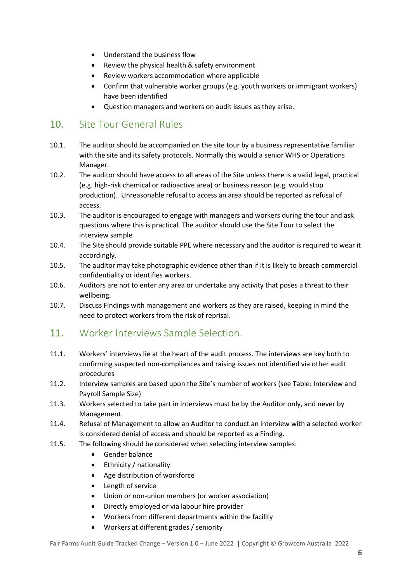- Understand the business flow
- Review the physical health & safety environment
- Review workers accommodation where applicable
- Confirm that vulnerable worker groups (e.g. youth workers or immigrant workers) have been identified
- Question managers and workers on audit issues as they arise.

# <span id="page-5-0"></span>10. Site Tour General Rules

- 10.1. The auditor should be accompanied on the site tour by a business representative familiar with the site and its safety protocols. Normally this would a senior WHS or Operations Manager.
- 10.2. The auditor should have access to all areas of the Site unless there is a valid legal, practical (e.g. high-risk chemical or radioactive area) or business reason (e.g. would stop production). Unreasonable refusal to access an area should be reported as refusal of access.
- 10.3. The auditor is encouraged to engage with managers and workers during the tour and ask questions where this is practical. The auditor should use the Site Tour to select the interview sample
- 10.4. The Site should provide suitable PPE where necessary and the auditor is required to wear it accordingly.
- 10.5. The auditor may take photographic evidence other than if it is likely to breach commercial confidentiality or identifies workers.
- 10.6. Auditors are not to enter any area or undertake any activity that poses a threat to their wellbeing.
- 10.7. Discuss Findings with management and workers as they are raised, keeping in mind the need to protect workers from the risk of reprisal.

# <span id="page-5-1"></span>11. Worker Interviews Sample Selection.

- 11.1. Workers' interviews lie at the heart of the audit process. The interviews are key both to confirming suspected non-compliances and raising issues not identified via other audit procedures
- 11.2. Interview samples are based upon the Site's number of workers (see Table: Interview and Payroll Sample Size)
- 11.3. Workers selected to take part in interviews must be by the Auditor only, and never by Management.
- 11.4. Refusal of Management to allow an Auditor to conduct an interview with a selected worker is considered denial of access and should be reported as a Finding.
- 11.5. The following should be considered when selecting interview samples:
	- Gender balance
	- Ethnicity / nationality
	- Age distribution of workforce
	- Length of service
	- Union or non-union members (or worker association)
	- Directly employed or via labour hire provider
	- Workers from different departments within the facility
	- Workers at different grades / seniority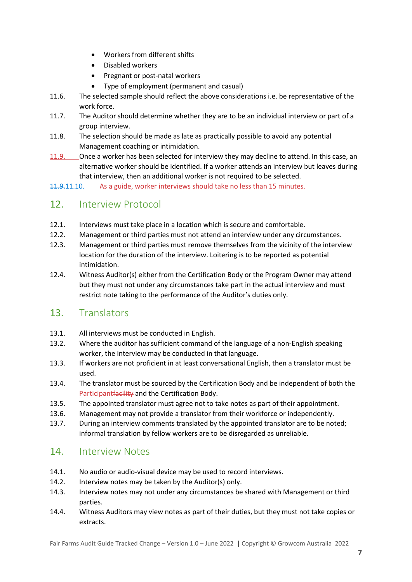- Workers from different shifts
- Disabled workers
- Pregnant or post-natal workers
- Type of employment (permanent and casual)
- 11.6. The selected sample should reflect the above considerations i.e. be representative of the work force.
- 11.7. The Auditor should determine whether they are to be an individual interview or part of a group interview.
- 11.8. The selection should be made as late as practically possible to avoid any potential Management coaching or intimidation.
- 11.9. Once a worker has been selected for interview they may decline to attend. In this case, an alternative worker should be identified. If a worker attends an interview but leaves during that interview, then an additional worker is not required to be selected.

11.9.11.10. As a guide, worker interviews should take no less than 15 minutes.

#### <span id="page-6-0"></span>12. Interview Protocol

- 12.1. Interviews must take place in a location which is secure and comfortable.
- 12.2. Management or third parties must not attend an interview under any circumstances.
- 12.3. Management or third parties must remove themselves from the vicinity of the interview location for the duration of the interview. Loitering is to be reported as potential intimidation.
- 12.4. Witness Auditor(s) either from the Certification Body or the Program Owner may attend but they must not under any circumstances take part in the actual interview and must restrict note taking to the performance of the Auditor's duties only.

#### <span id="page-6-1"></span>13. Translators

- 13.1. All interviews must be conducted in English.
- 13.2. Where the auditor has sufficient command of the language of a non-English speaking worker, the interview may be conducted in that language.
- 13.3. If workers are not proficient in at least conversational English, then a translator must be used.
- 13.4. The translator must be sourced by the Certification Body and be independent of both the Participant facility and the Certification Body.
- 13.5. The appointed translator must agree not to take notes as part of their appointment.
- 13.6. Management may not provide a translator from their workforce or independently.
- 13.7. During an interview comments translated by the appointed translator are to be noted; informal translation by fellow workers are to be disregarded as unreliable.

#### <span id="page-6-2"></span>14. Interview Notes

- 14.1. No audio or audio-visual device may be used to record interviews.
- 14.2. Interview notes may be taken by the Auditor(s) only.
- 14.3. Interview notes may not under any circumstances be shared with Management or third parties.
- 14.4. Witness Auditors may view notes as part of their duties, but they must not take copies or extracts.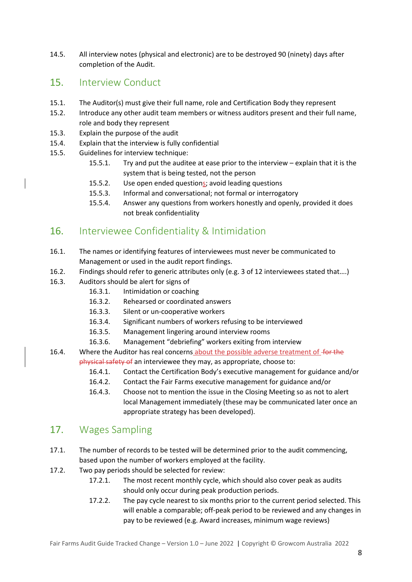14.5. All interview notes (physical and electronic) are to be destroyed 90 (ninety) days after completion of the Audit.

#### <span id="page-7-0"></span>15. Interview Conduct

- 15.1. The Auditor(s) must give their full name, role and Certification Body they represent
- 15.2. Introduce any other audit team members or witness auditors present and their full name, role and body they represent
- 15.3. Explain the purpose of the audit
- 15.4. Explain that the interview is fully confidential
- 15.5. Guidelines for interview technique:
	- 15.5.1. Try and put the auditee at ease prior to the interview explain that it is the system that is being tested, not the person
	- 15.5.2. Use open ended questions; avoid leading questions
	- 15.5.3. Informal and conversational; not formal or interrogatory
	- 15.5.4. Answer any questions from workers honestly and openly, provided it does not break confidentiality

#### <span id="page-7-1"></span>16. Interviewee Confidentiality & Intimidation

- 16.1. The names or identifying features of interviewees must never be communicated to Management or used in the audit report findings.
- 16.2. Findings should refer to generic attributes only (e.g. 3 of 12 interviewees stated that….)
- 16.3. Auditors should be alert for signs of
	- 16.3.1. Intimidation or coaching
	- 16.3.2. Rehearsed or coordinated answers
	- 16.3.3. Silent or un-cooperative workers
	- 16.3.4. Significant numbers of workers refusing to be interviewed
	- 16.3.5. Management lingering around interview rooms
	- 16.3.6. Management "debriefing" workers exiting from interview
- 16.4. Where the Auditor has real concerns about the possible adverse treatment of for the physical safety of an interviewee they may, as appropriate, choose to:
	- 16.4.1. Contact the Certification Body's executive management for guidance and/or
	- 16.4.2. Contact the Fair Farms executive management for guidance and/or
	- 16.4.3. Choose not to mention the issue in the Closing Meeting so as not to alert local Management immediately (these may be communicated later once an appropriate strategy has been developed).

# <span id="page-7-2"></span>17. Wages Sampling

- 17.1. The number of records to be tested will be determined prior to the audit commencing, based upon the number of workers employed at the facility.
- 17.2. Two pay periods should be selected for review:
	- 17.2.1. The most recent monthly cycle, which should also cover peak as audits should only occur during peak production periods.
	- 17.2.2. The pay cycle nearest to six months prior to the current period selected. This will enable a comparable; off-peak period to be reviewed and any changes in pay to be reviewed (e.g. Award increases, minimum wage reviews)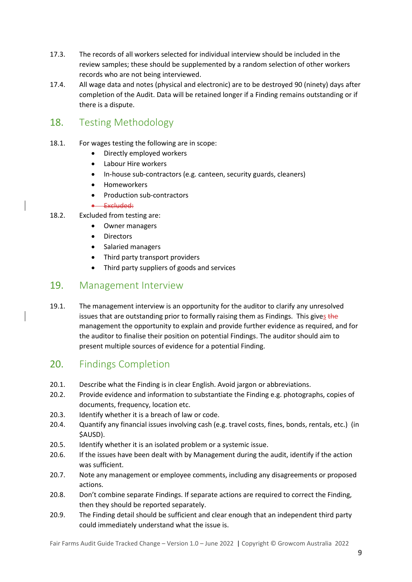- 17.3. The records of all workers selected for individual interview should be included in the review samples; these should be supplemented by a random selection of other workers records who are not being interviewed.
- 17.4. All wage data and notes (physical and electronic) are to be destroyed 90 (ninety) days after completion of the Audit. Data will be retained longer if a Finding remains outstanding or if there is a dispute.

# <span id="page-8-0"></span>18. Testing Methodology

- 18.1. For wages testing the following are in scope:
	- Directly employed workers
	- Labour Hire workers
	- In-house sub-contractors (e.g. canteen, security guards, cleaners)
	- Homeworkers
	- Production sub-contractors

#### • Excluded:

- 18.2. Excluded from testing are:
	- Owner managers
	- **Directors**
	- Salaried managers
	- Third party transport providers
	- Third party suppliers of goods and services

## <span id="page-8-1"></span>19. Management Interview

19.1. The management interview is an opportunity for the auditor to clarify any unresolved issues that are outstanding prior to formally raising them as Findings. This gives the management the opportunity to explain and provide further evidence as required, and for the auditor to finalise their position on potential Findings. The auditor should aim to present multiple sources of evidence for a potential Finding.

#### <span id="page-8-2"></span>20. Findings Completion

- 20.1. Describe what the Finding is in clear English. Avoid jargon or abbreviations.
- 20.2. Provide evidence and information to substantiate the Finding e.g. photographs, copies of documents, frequency, location etc.
- 20.3. Identify whether it is a breach of law or code.
- 20.4. Quantify any financial issues involving cash (e.g. travel costs, fines, bonds, rentals, etc.) (in \$AUSD).
- 20.5. Identify whether it is an isolated problem or a systemic issue.
- 20.6. If the issues have been dealt with by Management during the audit, identify if the action was sufficient.
- 20.7. Note any management or employee comments, including any disagreements or proposed actions.
- 20.8. Don't combine separate Findings. If separate actions are required to correct the Finding, then they should be reported separately.
- 20.9. The Finding detail should be sufficient and clear enough that an independent third party could immediately understand what the issue is.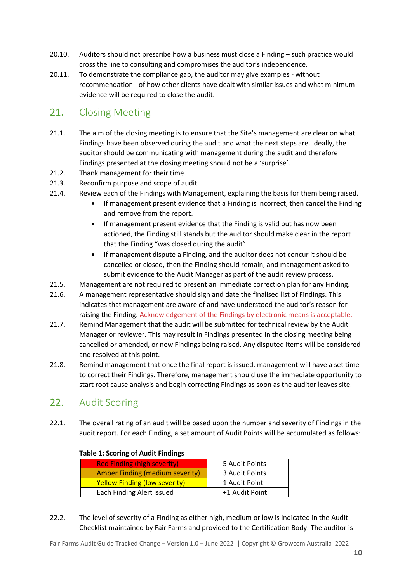- 20.10. Auditors should not prescribe how a business must close a Finding such practice would cross the line to consulting and compromises the auditor's independence.
- 20.11. To demonstrate the compliance gap, the auditor may give examples without recommendation - of how other clients have dealt with similar issues and what minimum evidence will be required to close the audit.

# <span id="page-9-0"></span>21. Closing Meeting

- 21.1. The aim of the closing meeting is to ensure that the Site's management are clear on what Findings have been observed during the audit and what the next steps are. Ideally, the auditor should be communicating with management during the audit and therefore Findings presented at the closing meeting should not be a 'surprise'.
- 21.2. Thank management for their time.
- 21.3. Reconfirm purpose and scope of audit.
- 21.4. Review each of the Findings with Management, explaining the basis for them being raised.
	- If management present evidence that a Finding is incorrect, then cancel the Finding and remove from the report.
	- If management present evidence that the Finding is valid but has now been actioned, the Finding still stands but the auditor should make clear in the report that the Finding "was closed during the audit".
	- If management dispute a Finding, and the auditor does not concur it should be cancelled or closed, then the Finding should remain, and management asked to submit evidence to the Audit Manager as part of the audit review process.
- 21.5. Management are not required to present an immediate correction plan for any Finding.
- 21.6. A management representative should sign and date the finalised list of Findings. This indicates that management are aware of and have understood the auditor's reason for raising the Finding. Acknowledgement of the Findings by electronic means is acceptable.
- 21.7. Remind Management that the audit will be submitted for technical review by the Audit Manager or reviewer. This may result in Findings presented in the closing meeting being cancelled or amended, or new Findings being raised. Any disputed items will be considered and resolved at this point.
- 21.8. Remind management that once the final report is issued, management will have a set time to correct their Findings. Therefore, management should use the immediate opportunity to start root cause analysis and begin correcting Findings as soon as the auditor leaves site.

# <span id="page-9-1"></span>22. Audit Scoring

22.1. The overall rating of an audit will be based upon the number and severity of Findings in the audit report. For each Finding, a set amount of Audit Points will be accumulated as follows:

#### **Table 1: Scoring of Audit Findings**

| <b>Red Finding (high severity)</b>     | 5 Audit Points |
|----------------------------------------|----------------|
| <b>Amber Finding (medium severity)</b> | 3 Audit Points |
| <b>Yellow Finding (low severity)</b>   | 1 Audit Point  |
| Each Finding Alert issued              | +1 Audit Point |
|                                        |                |

22.2. The level of severity of a Finding as either high, medium or low is indicated in the Audit Checklist maintained by Fair Farms and provided to the Certification Body. The auditor is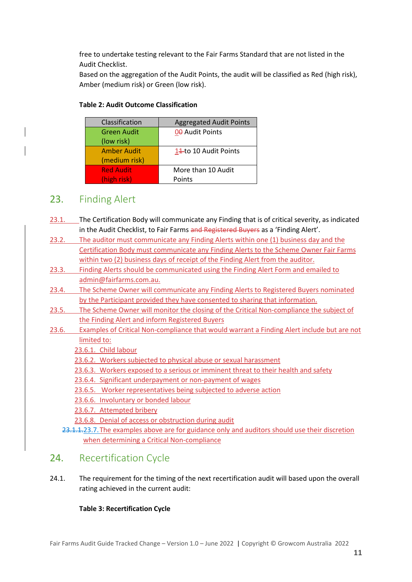free to undertake testing relevant to the Fair Farms Standard that are not listed in the Audit Checklist.

Based on the aggregation of the Audit Points, the audit will be classified as Red (high risk), Amber (medium risk) or Green (low risk).

| Classification     | <b>Aggregated Audit Points</b> |
|--------------------|--------------------------------|
| <b>Green Audit</b> | 00 Audit Points                |
| (low risk)         |                                |
| <b>Amber Audit</b> | 14-to 10 Audit Points          |
| (medium risk)      |                                |
| <b>Red Audit</b>   | More than 10 Audit             |
| (high risk)        | Points                         |

#### **Table 2: Audit Outcome Classification**

#### <span id="page-10-0"></span>23. Finding Alert

- 23.1. The Certification Body will communicate any Finding that is of critical severity, as indicated in the Audit Checklist, to Fair Farms and Registered Buyers as a 'Finding Alert'.
- 23.2. The auditor must communicate any Finding Alerts within one (1) business day and the Certification Body must communicate any Finding Alerts to the Scheme Owner Fair Farms within two (2) business days of receipt of the Finding Alert from the auditor.
- 23.3. Finding Alerts should be communicated using the Finding Alert Form and emailed to admin@fairfarms.com.au.
- 23.4. The Scheme Owner will communicate any Finding Alerts to Registered Buyers nominated by the Participant provided they have consented to sharing that information.
- 23.5. The Scheme Owner will monitor the closing of the Critical Non-compliance the subject of the Finding Alert and inform Registered Buyers
- 23.6. Examples of Critical Non-compliance that would warrant a Finding Alert include but are not limited to:

23.6.1. Child labour

- 23.6.2. Workers subjected to physical abuse or sexual harassment
- 23.6.3. Workers exposed to a serious or imminent threat to their health and safety
- 23.6.4. Significant underpayment or non-payment of wages
- 23.6.5. Worker representatives being subjected to adverse action
- 23.6.6. Involuntary or bonded labour
- 23.6.7. Attempted bribery
- 23.6.8. Denial of access or obstruction during audit
- 23.1.1.23.7. The examples above are for guidance only and auditors should use their discretion when determining a Critical Non-compliance

#### <span id="page-10-1"></span>24. Recertification Cycle

24.1. The requirement for the timing of the next recertification audit will based upon the overall rating achieved in the current audit:

#### **Table 3: Recertification Cycle**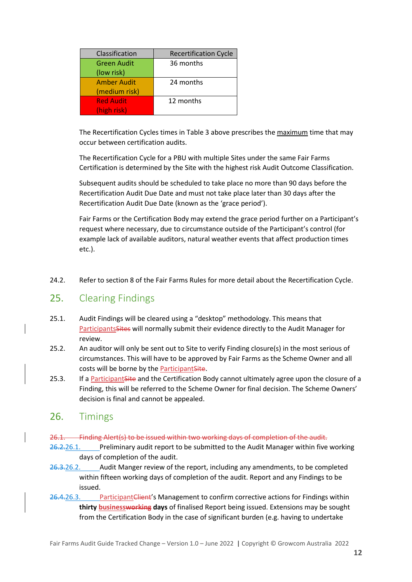| Classification                   | <b>Recertification Cycle</b> |
|----------------------------------|------------------------------|
| <b>Green Audit</b><br>(low risk) | 36 months                    |
| <b>Amber Audit</b>               | 24 months                    |
| (medium risk)                    |                              |
| <b>Red Audit</b>                 | 12 months                    |
| (high risk)                      |                              |

The Recertification Cycles times in Table 3 above prescribes the maximum time that may occur between certification audits.

The Recertification Cycle for a PBU with multiple Sites under the same Fair Farms Certification is determined by the Site with the highest risk Audit Outcome Classification.

Subsequent audits should be scheduled to take place no more than 90 days before the Recertification Audit Due Date and must not take place later than 30 days after the Recertification Audit Due Date (known as the 'grace period').

Fair Farms or the Certification Body may extend the grace period further on a Participant's request where necessary, due to circumstance outside of the Participant's control (for example lack of available auditors, natural weather events that affect production times etc.).

24.2. Refer to section 8 of the Fair Farms Rules for more detail about the Recertification Cycle.

#### <span id="page-11-0"></span>25. Clearing Findings

- 25.1. Audit Findings will be cleared using a "desktop" methodology. This means that ParticipantsSites will normally submit their evidence directly to the Audit Manager for review.
- 25.2. An auditor will only be sent out to Site to verify Finding closure(s) in the most serious of circumstances. This will have to be approved by Fair Farms as the Scheme Owner and all costs will be borne by the ParticipantSite.
- 25.3. If a Participant Site and the Certification Body cannot ultimately agree upon the closure of a Finding, this will be referred to the Scheme Owner for final decision. The Scheme Owners' decision is final and cannot be appealed.

#### <span id="page-11-1"></span>26. Timings

26.1. Finding Alert(s) to be issued within two working days of completion of the audit.

- 26.2.26.1. Preliminary audit report to be submitted to the Audit Manager within five working days of completion of the audit.
- $26.3.26.2.$  Audit Manger review of the report, including any amendments, to be completed within fifteen working days of completion of the audit. Report and any Findings to be issued.
- 26.4.26.3. ParticipantClient's Management to confirm corrective actions for Findings within **thirty businessworking days** of finalised Report being issued. Extensions may be sought from the Certification Body in the case of significant burden (e.g. having to undertake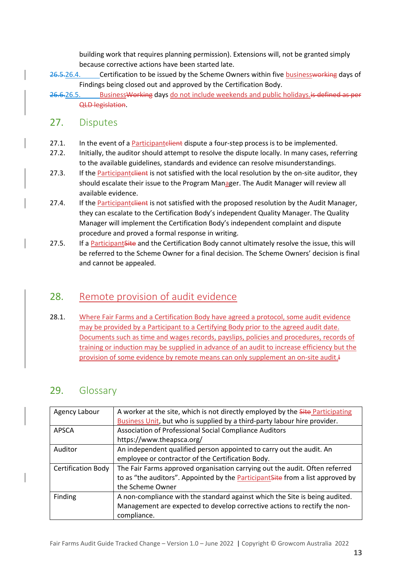building work that requires planning permission). Extensions will, not be granted simply because corrective actions have been started late.

- 26.5.26.4. Certification to be issued by the Scheme Owners within five businessworking days of Findings being closed out and approved by the Certification Body.
- 26.6.26.5. Business Working days do not include weekends and public holidays. is defined as per QLD legislation.

# <span id="page-12-0"></span>27. Disputes

- 27.1. In the event of a Participantelient dispute a four-step process is to be implemented.
- 27.2. Initially, the auditor should attempt to resolve the dispute locally. In many cases, referring to the available guidelines, standards and evidence can resolve misunderstandings.
- 27.3. If the Participantelient is not satisfied with the local resolution by the on-site auditor, they should escalate their issue to the Program Manager. The Audit Manager will review all available evidence.
- 27.4. If the Participantelient is not satisfied with the proposed resolution by the Audit Manager, they can escalate to the Certification Body's independent Quality Manager. The Quality Manager will implement the Certification Body's independent complaint and dispute procedure and proved a formal response in writing.
- 27.5. If a Participant Site and the Certification Body cannot ultimately resolve the issue, this will be referred to the Scheme Owner for a final decision. The Scheme Owners' decision is final and cannot be appealed.

# <span id="page-12-1"></span>28. Remote provision of audit evidence

28.1. Where Fair Farms and a Certification Body have agreed a protocol, some audit evidence may be provided by a Participant to a Certifying Body prior to the agreed audit date. Documents such as time and wages records, payslips, policies and procedures, records of training or induction may be supplied in advance of an audit to increase efficiency but the provision of some evidence by remote means can only supplement an on-site audit.<sup>4</sup>

# <span id="page-12-2"></span>29. Glossary

| Agency Labour             | A worker at the site, which is not directly employed by the <b>Site Participating</b>  |
|---------------------------|----------------------------------------------------------------------------------------|
|                           | Business Unit, but who is supplied by a third-party labour hire provider.              |
| <b>APSCA</b>              | Association of Professional Social Compliance Auditors                                 |
|                           | https://www.theapsca.org/                                                              |
| Auditor                   | An independent qualified person appointed to carry out the audit. An                   |
|                           | employee or contractor of the Certification Body.                                      |
| <b>Certification Body</b> | The Fair Farms approved organisation carrying out the audit. Often referred            |
|                           | to as "the auditors". Appointed by the <b>Participant Site</b> from a list approved by |
|                           | the Scheme Owner                                                                       |
| Finding                   | A non-compliance with the standard against which the Site is being audited.            |
|                           | Management are expected to develop corrective actions to rectify the non-              |
|                           | compliance.                                                                            |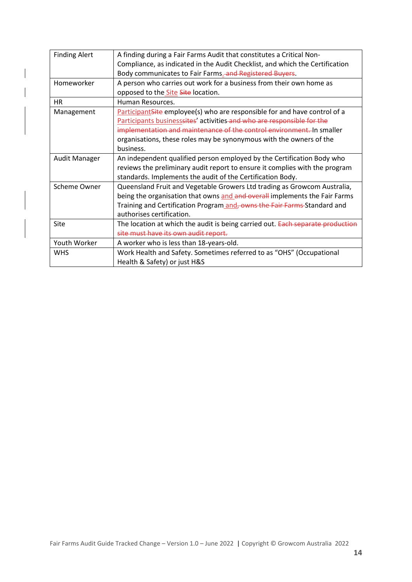| <b>Finding Alert</b> | A finding during a Fair Farms Audit that constitutes a Critical Non-         |
|----------------------|------------------------------------------------------------------------------|
|                      | Compliance, as indicated in the Audit Checklist, and which the Certification |
|                      | Body communicates to Fair Farms. and Registered Buyers.                      |
| Homeworker           | A person who carries out work for a business from their own home as          |
|                      | opposed to the Site Site location.                                           |
| <b>HR</b>            | Human Resources.                                                             |
| Management           | ParticipantSite employee(s) who are responsible for and have control of a    |
|                      | Participants businesssites' activities and who are responsible for the       |
|                      | implementation and maintenance of the control environment. In smaller        |
|                      | organisations, these roles may be synonymous with the owners of the          |
|                      | business.                                                                    |
| <b>Audit Manager</b> | An independent qualified person employed by the Certification Body who       |
|                      | reviews the preliminary audit report to ensure it complies with the program  |
|                      | standards. Implements the audit of the Certification Body.                   |
| Scheme Owner         | Queensland Fruit and Vegetable Growers Ltd trading as Growcom Australia,     |
|                      | being the organisation that owns and and overall implements the Fair Farms   |
|                      | Training and Certification Program and, owns the Fair Farms Standard and     |
|                      | authorises certification.                                                    |
| Site                 | The location at which the audit is being carried out. Each separate prod     |
|                      | site must have its own audit report.                                         |
| Youth Worker         | A worker who is less than 18-years-old.                                      |
| <b>WHS</b>           | Work Health and Safety. Sometimes referred to as "OHS" (Occupational         |
|                      | Health & Safety) or just H&S                                                 |